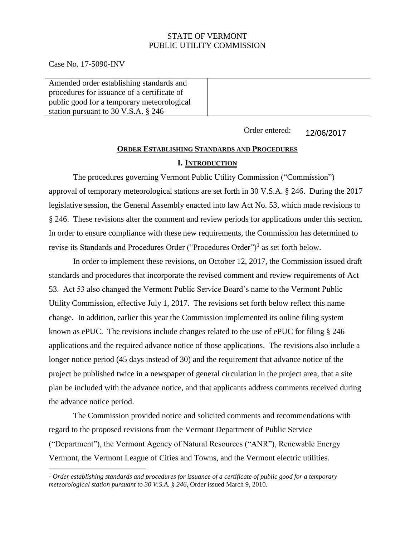### STATE OF VERMONT PUBLIC UTILITY COMMISSION

Case No. 17-5090-INV

Amended order establishing standards and procedures for issuance of a certificate of public good for a temporary meteorological station pursuant to 30 V.S.A. § 246

> Order entered: 12/06/2017

# **ORDER ESTABLISHING STANDARDS AND PROCEDURES I. INTRODUCTION**

The procedures governing Vermont Public Utility Commission ("Commission") approval of temporary meteorological stations are set forth in 30 V.S.A. § 246. During the 2017 legislative session, the General Assembly enacted into law Act No. 53, which made revisions to § 246. These revisions alter the comment and review periods for applications under this section. In order to ensure compliance with these new requirements, the Commission has determined to revise its Standards and Procedures Order ("Procedures Order")<sup>1</sup> as set forth below.

In order to implement these revisions, on October 12, 2017, the Commission issued draft standards and procedures that incorporate the revised comment and review requirements of Act 53. Act 53 also changed the Vermont Public Service Board's name to the Vermont Public Utility Commission, effective July 1, 2017. The revisions set forth below reflect this name change. In addition, earlier this year the Commission implemented its online filing system known as ePUC. The revisions include changes related to the use of ePUC for filing § 246 applications and the required advance notice of those applications. The revisions also include a longer notice period (45 days instead of 30) and the requirement that advance notice of the project be published twice in a newspaper of general circulation in the project area, that a site plan be included with the advance notice, and that applicants address comments received during the advance notice period.

The Commission provided notice and solicited comments and recommendations with regard to the proposed revisions from the Vermont Department of Public Service ("Department"), the Vermont Agency of Natural Resources ("ANR"), Renewable Energy Vermont, the Vermont League of Cities and Towns, and the Vermont electric utilities.

<sup>1</sup> *Order establishing standards and procedures for issuance of a certificate of public good for a temporary meteorological station pursuant to 30 V.S.A. § 246*, Order issued March 9, 2010.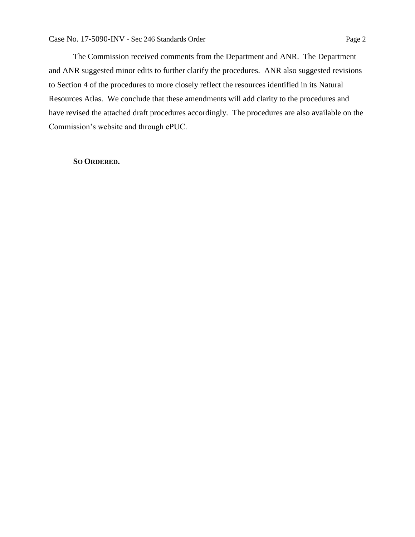The Commission received comments from the Department and ANR. The Department and ANR suggested minor edits to further clarify the procedures. ANR also suggested revisions to Section 4 of the procedures to more closely reflect the resources identified in its Natural Resources Atlas. We conclude that these amendments will add clarity to the procedures and have revised the attached draft procedures accordingly. The procedures are also available on the Commission's website and through ePUC.

#### **SO ORDERED.**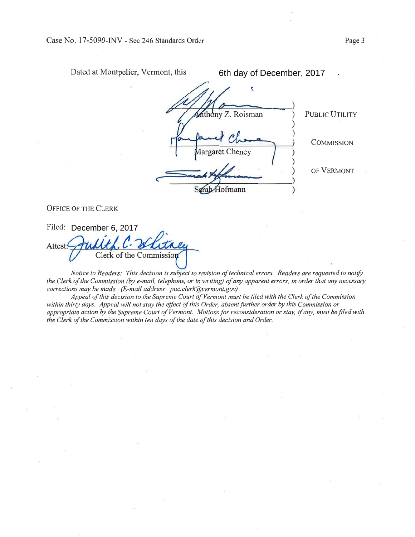Dated at Montpelier, Vermont, this

6th day of December, 2017

hthony Z. Roisman (b) PUBLIC UTILITY COMMISSION largaret Cheney OF VERMONT  $\overline{\mathbf{C}}$ ) ) ) ) ) )

OFFICE OF THE CLERK

Filed: December 6, 2017 <u>ا</u> Attest: Clerk of the Commi

Notice to Readers: This decision is subject to revision of technical errors. Readers are requested to notify the Clerk of the Commission (by e-mail, telephone, or in writing) of any apparent errors, in order that any necessary corrections may be made. (E-mail address: puc.clerk@vermont.gov)

Appeøl of this decision to the Supreme Court of Vermont must be filed with the Clerk of the Commission within thirty days. Appeal will not stay the effect of this Order, absent further order by this Commission or appropriate action by the Supreme Court of Vermont. Motions for reconsideration or stay, if any, must be filed with the Clerk of the Commission within ten days of the date of this decision and Order.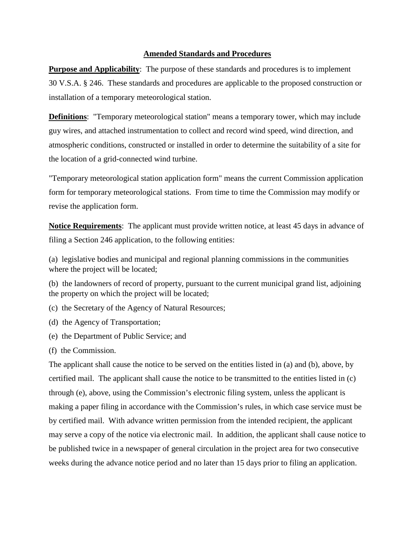### **Amended Standards and Procedures**

**Purpose and Applicability**: The purpose of these standards and procedures is to implement 30 V.S.A. § 246. These standards and procedures are applicable to the proposed construction or installation of a temporary meteorological station.

**Definitions**: "Temporary meteorological station" means a temporary tower, which may include guy wires, and attached instrumentation to collect and record wind speed, wind direction, and atmospheric conditions, constructed or installed in order to determine the suitability of a site for the location of a grid-connected wind turbine.

"Temporary meteorological station application form" means the current Commission application form for temporary meteorological stations. From time to time the Commission may modify or revise the application form.

**Notice Requirements**: The applicant must provide written notice, at least 45 days in advance of filing a Section 246 application, to the following entities:

(a) legislative bodies and municipal and regional planning commissions in the communities where the project will be located;

(b) the landowners of record of property, pursuant to the current municipal grand list, adjoining the property on which the project will be located;

- (c) the Secretary of the Agency of Natural Resources;
- (d) the Agency of Transportation;
- (e) the Department of Public Service; and
- (f) the Commission.

The applicant shall cause the notice to be served on the entities listed in (a) and (b), above, by certified mail. The applicant shall cause the notice to be transmitted to the entities listed in (c) through (e), above, using the Commission's electronic filing system, unless the applicant is making a paper filing in accordance with the Commission's rules, in which case service must be by certified mail. With advance written permission from the intended recipient, the applicant may serve a copy of the notice via electronic mail. In addition, the applicant shall cause notice to be published twice in a newspaper of general circulation in the project area for two consecutive weeks during the advance notice period and no later than 15 days prior to filing an application.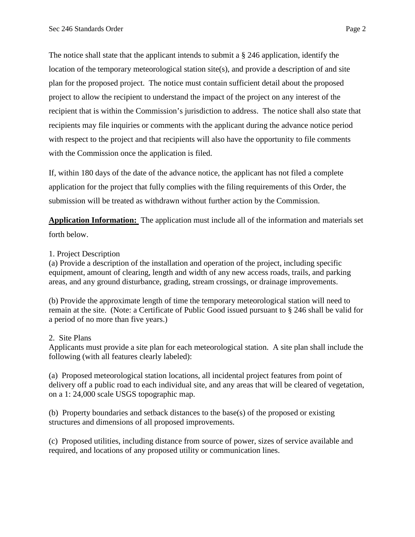The notice shall state that the applicant intends to submit a § 246 application, identify the location of the temporary meteorological station site(s), and provide a description of and site plan for the proposed project. The notice must contain sufficient detail about the proposed project to allow the recipient to understand the impact of the project on any interest of the recipient that is within the Commission's jurisdiction to address. The notice shall also state that recipients may file inquiries or comments with the applicant during the advance notice period with respect to the project and that recipients will also have the opportunity to file comments with the Commission once the application is filed.

If, within 180 days of the date of the advance notice, the applicant has not filed a complete application for the project that fully complies with the filing requirements of this Order, the submission will be treated as withdrawn without further action by the Commission.

**Application Information:** The application must include all of the information and materials set forth below.

## 1. Project Description

(a) Provide a description of the installation and operation of the project, including specific equipment, amount of clearing, length and width of any new access roads, trails, and parking areas, and any ground disturbance, grading, stream crossings, or drainage improvements.

(b) Provide the approximate length of time the temporary meteorological station will need to remain at the site. (Note: a Certificate of Public Good issued pursuant to § 246 shall be valid for a period of no more than five years.)

## 2. Site Plans

Applicants must provide a site plan for each meteorological station. A site plan shall include the following (with all features clearly labeled):

(a) Proposed meteorological station locations, all incidental project features from point of delivery off a public road to each individual site, and any areas that will be cleared of vegetation, on a 1: 24,000 scale USGS topographic map.

(b) Property boundaries and setback distances to the base(s) of the proposed or existing structures and dimensions of all proposed improvements.

(c) Proposed utilities, including distance from source of power, sizes of service available and required, and locations of any proposed utility or communication lines.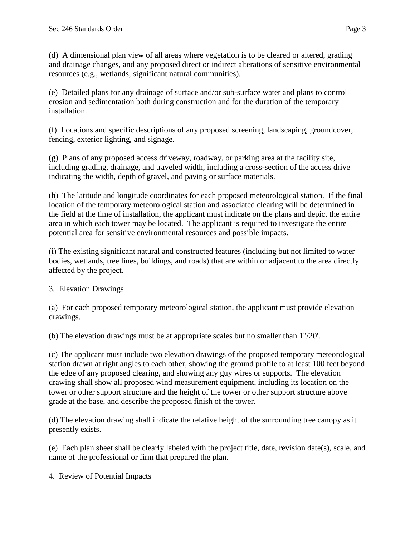(d) A dimensional plan view of all areas where vegetation is to be cleared or altered, grading and drainage changes, and any proposed direct or indirect alterations of sensitive environmental resources (e.g., wetlands, significant natural communities).

(e) Detailed plans for any drainage of surface and/or sub-surface water and plans to control erosion and sedimentation both during construction and for the duration of the temporary installation.

(f) Locations and specific descriptions of any proposed screening, landscaping, groundcover, fencing, exterior lighting, and signage.

(g) Plans of any proposed access driveway, roadway, or parking area at the facility site, including grading, drainage, and traveled width, including a cross-section of the access drive indicating the width, depth of gravel, and paving or surface materials.

(h) The latitude and longitude coordinates for each proposed meteorological station. If the final location of the temporary meteorological station and associated clearing will be determined in the field at the time of installation, the applicant must indicate on the plans and depict the entire area in which each tower may be located. The applicant is required to investigate the entire potential area for sensitive environmental resources and possible impacts.

(i) The existing significant natural and constructed features (including but not limited to water bodies, wetlands, tree lines, buildings, and roads) that are within or adjacent to the area directly affected by the project.

# 3. Elevation Drawings

(a) For each proposed temporary meteorological station, the applicant must provide elevation drawings.

(b) The elevation drawings must be at appropriate scales but no smaller than 1"/20'.

(c) The applicant must include two elevation drawings of the proposed temporary meteorological station drawn at right angles to each other, showing the ground profile to at least 100 feet beyond the edge of any proposed clearing, and showing any guy wires or supports. The elevation drawing shall show all proposed wind measurement equipment, including its location on the tower or other support structure and the height of the tower or other support structure above grade at the base, and describe the proposed finish of the tower.

(d) The elevation drawing shall indicate the relative height of the surrounding tree canopy as it presently exists.

(e) Each plan sheet shall be clearly labeled with the project title, date, revision date(s), scale, and name of the professional or firm that prepared the plan.

4. Review of Potential Impacts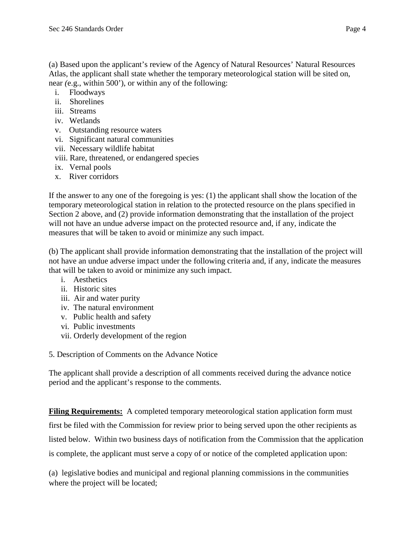(a) Based upon the applicant's review of the Agency of Natural Resources' Natural Resources Atlas, the applicant shall state whether the temporary meteorological station will be sited on, near *(*e.g., within 500'), or within any of the following:

- i. Floodways
- ii. Shorelines
- iii. Streams
- iv. Wetlands
- v. Outstanding resource waters
- vi. Significant natural communities
- vii. Necessary wildlife habitat
- viii. Rare, threatened, or endangered species
- ix. Vernal pools
- x. River corridors

If the answer to any one of the foregoing is yes: (1) the applicant shall show the location of the temporary meteorological station in relation to the protected resource on the plans specified in Section 2 above, and (2) provide information demonstrating that the installation of the project will not have an undue adverse impact on the protected resource and, if any, indicate the measures that will be taken to avoid or minimize any such impact.

(b) The applicant shall provide information demonstrating that the installation of the project will not have an undue adverse impact under the following criteria and, if any, indicate the measures that will be taken to avoid or minimize any such impact.

- i. Aesthetics
- ii. Historic sites
- iii. Air and water purity
- iv. The natural environment
- v. Public health and safety
- vi. Public investments
- vii. Orderly development of the region
- 5. Description of Comments on the Advance Notice

The applicant shall provide a description of all comments received during the advance notice period and the applicant's response to the comments.

**Filing Requirements:** A completed temporary meteorological station application form must first be filed with the Commission for review prior to being served upon the other recipients as listed below. Within two business days of notification from the Commission that the application is complete, the applicant must serve a copy of or notice of the completed application upon:

(a) legislative bodies and municipal and regional planning commissions in the communities where the project will be located;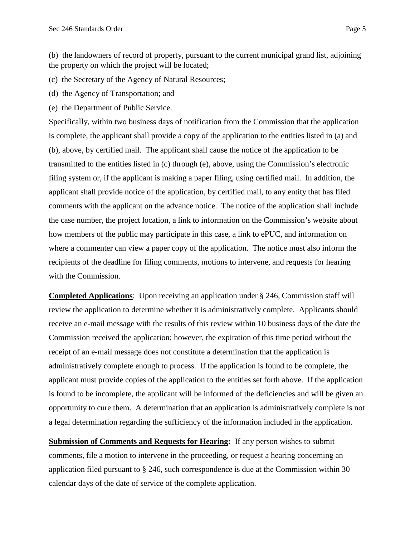(b) the landowners of record of property, pursuant to the current municipal grand list, adjoining the property on which the project will be located;

(c) the Secretary of the Agency of Natural Resources;

(d) the Agency of Transportation; and

(e) the Department of Public Service.

Specifically, within two business days of notification from the Commission that the application is complete, the applicant shall provide a copy of the application to the entities listed in (a) and (b), above, by certified mail. The applicant shall cause the notice of the application to be transmitted to the entities listed in (c) through (e), above, using the Commission's electronic filing system or, if the applicant is making a paper filing, using certified mail. In addition, the applicant shall provide notice of the application, by certified mail, to any entity that has filed comments with the applicant on the advance notice. The notice of the application shall include the case number, the project location, a link to information on the Commission's website about how members of the public may participate in this case, a link to ePUC, and information on where a commenter can view a paper copy of the application. The notice must also inform the recipients of the deadline for filing comments, motions to intervene, and requests for hearing with the Commission.

**Completed Applications**: Upon receiving an application under § 246, Commission staff will review the application to determine whether it is administratively complete. Applicants should receive an e-mail message with the results of this review within 10 business days of the date the Commission received the application; however, the expiration of this time period without the receipt of an e-mail message does not constitute a determination that the application is administratively complete enough to process. If the application is found to be complete, the applicant must provide copies of the application to the entities set forth above. If the application is found to be incomplete, the applicant will be informed of the deficiencies and will be given an opportunity to cure them. A determination that an application is administratively complete is not a legal determination regarding the sufficiency of the information included in the application.

**Submission of Comments and Requests for Hearing:** If any person wishes to submit comments, file a motion to intervene in the proceeding*,* or request a hearing concerning an application filed pursuant to § 246, such correspondence is due at the Commission within 30 calendar days of the date of service of the complete application.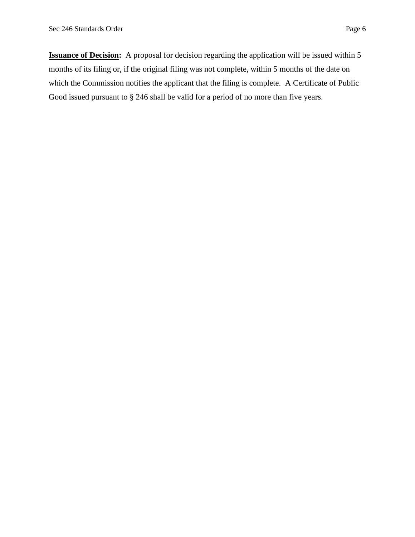**Issuance of Decision:** A proposal for decision regarding the application will be issued within 5 months of its filing or, if the original filing was not complete, within 5 months of the date on which the Commission notifies the applicant that the filing is complete. A Certificate of Public Good issued pursuant to § 246 shall be valid for a period of no more than five years.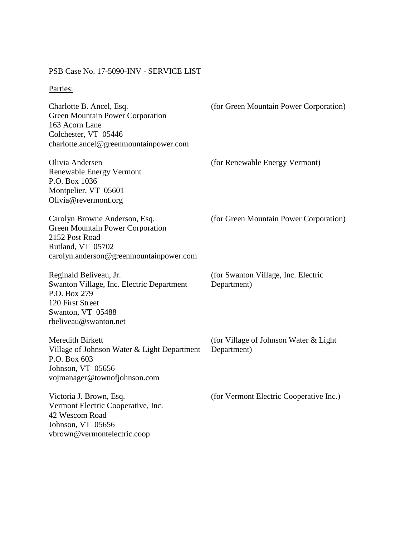# PSB Case No. 17-5090-INV - SERVICE LIST

# Parties:

| Charlotte B. Ancel, Esq.<br>Green Mountain Power Corporation<br>163 Acorn Lane<br>Colchester, VT 05446<br>charlotte.ancel@greenmountainpower.com           | (for Green Mountain Power Corporation)                |
|------------------------------------------------------------------------------------------------------------------------------------------------------------|-------------------------------------------------------|
| Olivia Andersen<br><b>Renewable Energy Vermont</b><br>P.O. Box 1036<br>Montpelier, VT 05601<br>Olivia@revermont.org                                        | (for Renewable Energy Vermont)                        |
| Carolyn Browne Anderson, Esq.<br><b>Green Mountain Power Corporation</b><br>2152 Post Road<br>Rutland, VT 05702<br>carolyn.anderson@greenmountainpower.com | (for Green Mountain Power Corporation)                |
| Reginald Beliveau, Jr.<br>Swanton Village, Inc. Electric Department<br>P.O. Box 279<br>120 First Street<br>Swanton, VT 05488<br>rbeliveau@swanton.net      | (for Swanton Village, Inc. Electric<br>Department)    |
| Meredith Birkett<br>Village of Johnson Water & Light Department<br>P.O. Box 603<br>Johnson, VT 05656<br>vojmanager@townofjohnson.com                       | (for Village of Johnson Water & Light)<br>Department) |
| Victoria J. Brown, Esq.<br>Vermont Electric Cooperative, Inc.<br>42 Wescom Road<br>Johnson, VT 05656<br>vbrown@vermontelectric.coop                        | (for Vermont Electric Cooperative Inc.)               |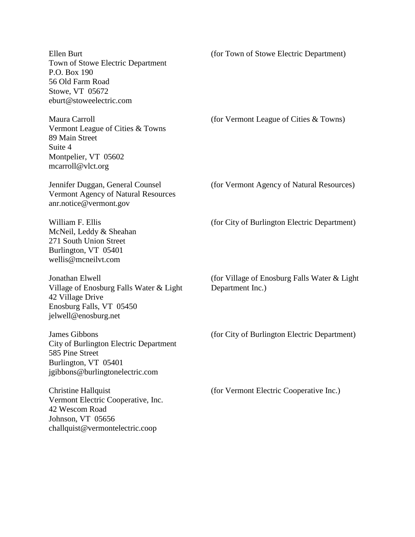Ellen Burt Town of Stowe Electric Department P.O. Box 190 56 Old Farm Road Stowe, VT 05672 eburt@stoweelectric.com (for Town of Stowe Electric Department) Maura Carroll Vermont League of Cities & Towns 89 Main Street Suite 4 Montpelier, VT 05602 mcarroll@vlct.org (for Vermont League of Cities & Towns) Jennifer Duggan, General Counsel Vermont Agency of Natural Resources anr.notice@vermont.gov (for Vermont Agency of Natural Resources) William F. Ellis McNeil, Leddy & Sheahan 271 South Union Street Burlington, VT 05401 wellis@mcneilvt.com (for City of Burlington Electric Department) Jonathan Elwell Village of Enosburg Falls Water & Light 42 Village Drive Enosburg Falls, VT 05450 jelwell@enosburg.net (for Village of Enosburg Falls Water & Light Department Inc.) James Gibbons City of Burlington Electric Department 585 Pine Street Burlington, VT 05401 jgibbons@burlingtonelectric.com (for City of Burlington Electric Department) Christine Hallquist Vermont Electric Cooperative, Inc. 42 Wescom Road Johnson, VT 05656 challquist@vermontelectric.coop (for Vermont Electric Cooperative Inc.)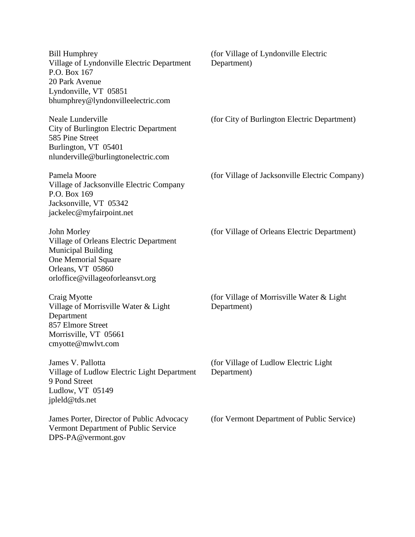| <b>Bill Humphrey</b><br>Village of Lyndonville Electric Department<br>P.O. Box 167<br>20 Park Avenue<br>Lyndonville, VT 05851<br>bhumphrey@lyndonvilleelectric.com | (for Village of Lyndonville Electric<br>Department)       |
|--------------------------------------------------------------------------------------------------------------------------------------------------------------------|-----------------------------------------------------------|
| <b>Neale Lunderville</b><br>City of Burlington Electric Department<br>585 Pine Street<br>Burlington, VT 05401<br>nlunderville@burlingtonelectric.com               | (for City of Burlington Electric Department)              |
| Pamela Moore<br>Village of Jacksonville Electric Company<br>P.O. Box 169<br>Jacksonville, VT 05342<br>jackelec@myfairpoint.net                                     | (for Village of Jacksonville Electric Company)            |
| John Morley<br>Village of Orleans Electric Department<br><b>Municipal Building</b><br>One Memorial Square<br>Orleans, VT 05860<br>orloffice@villageoforleansvt.org | (for Village of Orleans Electric Department)              |
| Craig Myotte<br>Village of Morrisville Water & Light<br>Department<br>857 Elmore Street<br>Morrisville, VT 05661<br>cmyotte@mwlvt.com                              | (for Village of Morrisville Water & Light)<br>Department) |
| James V. Pallotta<br>Village of Ludlow Electric Light Department<br>9 Pond Street<br>Ludlow, VT 05149<br>jpleld@tds.net                                            | (for Village of Ludlow Electric Light)<br>Department)     |
| James Porter, Director of Public Advocacy<br>Vermont Department of Public Service<br>DPS-PA@vermont.gov                                                            | (for Vermont Department of Public Service)                |